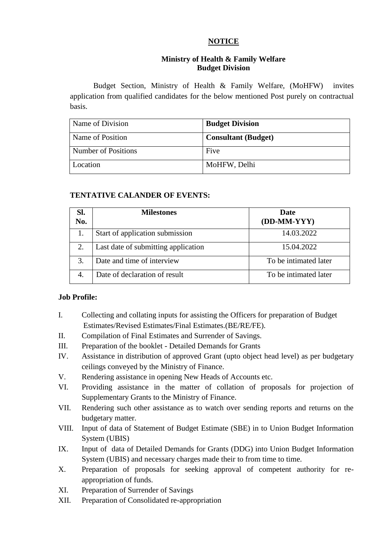# **NOTICE**

### **Ministry of Health & Family Welfare Budget Division**

Budget Section, Ministry of Health & Family Welfare, (MoHFW) invites application from qualified candidates for the below mentioned Post purely on contractual basis.

| Name of Division    | <b>Budget Division</b>     |
|---------------------|----------------------------|
| Name of Position    | <b>Consultant (Budget)</b> |
| Number of Positions | Five                       |
| Location            | MoHFW, Delhi               |

# **TENTATIVE CALANDER OF EVENTS:**

| Sl.<br>No. | <b>Milestones</b>                   | Date<br>(DD-MM-YYY)   |
|------------|-------------------------------------|-----------------------|
|            | Start of application submission     | 14.03.2022            |
| 2.         | Last date of submitting application | 15.04.2022            |
| 3.         | Date and time of interview          | To be intimated later |
|            | Date of declaration of result       | To be intimated later |

# **Job Profile:**

- I. Collecting and collating inputs for assisting the Officers for preparation of Budget Estimates/Revised Estimates/Final Estimates.(BE/RE/FE).
- II. Compilation of Final Estimates and Surrender of Savings.
- III. Preparation of the booklet Detailed Demands for Grants
- IV. Assistance in distribution of approved Grant (upto object head level) as per budgetary ceilings conveyed by the Ministry of Finance.
- V. Rendering assistance in opening New Heads of Accounts etc.
- VI. Providing assistance in the matter of collation of proposals for projection of Supplementary Grants to the Ministry of Finance.
- VII. Rendering such other assistance as to watch over sending reports and returns on the budgetary matter.
- VIII. Input of data of Statement of Budget Estimate (SBE) in to Union Budget Information System (UBIS)
- IX. Input of data of Detailed Demands for Grants (DDG) into Union Budget Information System (UBIS) and necessary charges made their to from time to time.
- X. Preparation of proposals for seeking approval of competent authority for reappropriation of funds.
- XI. Preparation of Surrender of Savings
- XII. Preparation of Consolidated re-appropriation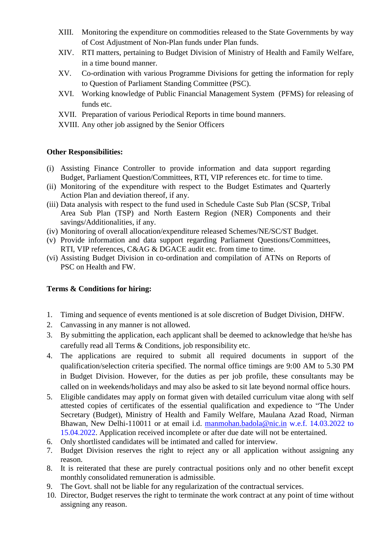- XIII. Monitoring the expenditure on commodities released to the State Governments by way of Cost Adjustment of Non-Plan funds under Plan funds.
- XIV. RTI matters, pertaining to Budget Division of Ministry of Health and Family Welfare, in a time bound manner.
- XV. Co-ordination with various Programme Divisions for getting the information for reply to Question of Parliament Standing Committee (PSC).
- XVI. Working knowledge of Public Financial Management System (PFMS) for releasing of funds etc.
- XVII. Preparation of various Periodical Reports in time bound manners.
- XVIII. Any other job assigned by the Senior Officers

#### **Other Responsibilities:**

- (i) Assisting Finance Controller to provide information and data support regarding Budget, Parliament Question/Committees, RTI, VIP references etc. for time to time.
- (ii) Monitoring of the expenditure with respect to the Budget Estimates and Quarterly Action Plan and deviation thereof, if any.
- (iii) Data analysis with respect to the fund used in Schedule Caste Sub Plan (SCSP, Tribal Area Sub Plan (TSP) and North Eastern Region (NER) Components and their savings/Additionalities, if any.
- (iv) Monitoring of overall allocation/expenditure released Schemes/NE/SC/ST Budget.
- (v) Provide information and data support regarding Parliament Questions/Committees, RTI, VIP references, C&AG & DGACE audit etc. from time to time.
- (vi) Assisting Budget Division in co-ordination and compilation of ATNs on Reports of PSC on Health and FW.

#### **Terms & Conditions for hiring:**

- 1. Timing and sequence of events mentioned is at sole discretion of Budget Division, DHFW.
- 2. Canvassing in any manner is not allowed.
- 3. By submitting the application, each applicant shall be deemed to acknowledge that he/she has carefully read all Terms & Conditions, job responsibility etc.
- 4. The applications are required to submit all required documents in support of the qualification/selection criteria specified. The normal office timings are 9:00 AM to 5.30 PM in Budget Division. However, for the duties as per job profile, these consultants may be called on in weekends/holidays and may also be asked to sit late beyond normal office hours.
- 5. Eligible candidates may apply on format given with detailed curriculum vitae along with self attested copies of certificates of the essential qualification and expedience to "The Under Secretary (Budget), Ministry of Health and Family Welfare, Maulana Azad Road, Nirman Bhawan, New Delhi-110011 or at email i.d. manmohan.badola@nic.in w.e.f. 14.03.2022 to 15.04.2022. Application received incomplete or after due date will not be entertained.
- 6. Only shortlisted candidates will be intimated and called for interview.
- 7. Budget Division reserves the right to reject any or all application without assigning any reason.
- 8. It is reiterated that these are purely contractual positions only and no other benefit except monthly consolidated remuneration is admissible.
- 9. The Govt. shall not be liable for any regularization of the contractual services.
- 10. Director, Budget reserves the right to terminate the work contract at any point of time without assigning any reason.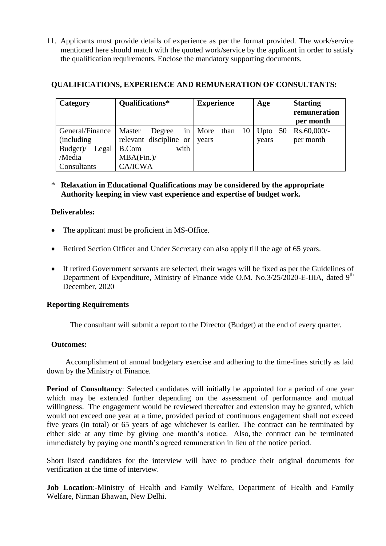11. Applicants must provide details of experience as per the format provided. The work/service mentioned here should match with the quoted work/service by the applicant in order to satisfy the qualification requirements. Enclose the mandatory supporting documents.

| Category          | Qualifications*        | <b>Experience</b> | Age   | <b>Starting</b><br>remuneration<br>per month |
|-------------------|------------------------|-------------------|-------|----------------------------------------------|
| General/Finance   | Master<br>Degree<br>in | More than<br>-10  |       | Upto $50 \mid \text{Rs.}60,000$ /-           |
| (including)       | relevant discipline or | years             | years | per month                                    |
| Budget)/<br>Legal | with<br>B.Com          |                   |       |                                              |
| /Media            | MBA(Fin.)/             |                   |       |                                              |
| Consultants       | <b>CA/ICWA</b>         |                   |       |                                              |

### **QUALIFICATIONS, EXPERIENCE AND REMUNERATION OF CONSULTANTS:**

\* **Relaxation in Educational Qualifications may be considered by the appropriate Authority keeping in view vast experience and expertise of budget work.**

### **Deliverables:**

- The applicant must be proficient in MS-Office.
- Retired Section Officer and Under Secretary can also apply till the age of 65 years.
- If retired Government servants are selected, their wages will be fixed as per the Guidelines of Department of Expenditure, Ministry of Finance vide O.M. No.3/25/2020-E-IIIA, dated 9<sup>th</sup> December, 2020

# **Reporting Requirements**

The consultant will submit a report to the Director (Budget) at the end of every quarter.

#### **Outcomes:**

Accomplishment of annual budgetary exercise and adhering to the time-lines strictly as laid down by the Ministry of Finance.

**Period of Consultancy**: Selected candidates will initially be appointed for a period of one year which may be extended further depending on the assessment of performance and mutual willingness. The engagement would be reviewed thereafter and extension may be granted, which would not exceed one year at a time, provided period of continuous engagement shall not exceed five years (in total) or 65 years of age whichever is earlier. The contract can be terminated by either side at any time by giving one month's notice. Also, the contract can be terminated immediately by paying one month's agreed remuneration in lieu of the notice period.

Short listed candidates for the interview will have to produce their original documents for verification at the time of interview.

**Job Location**:-Ministry of Health and Family Welfare, Department of Health and Family Welfare, Nirman Bhawan, New Delhi.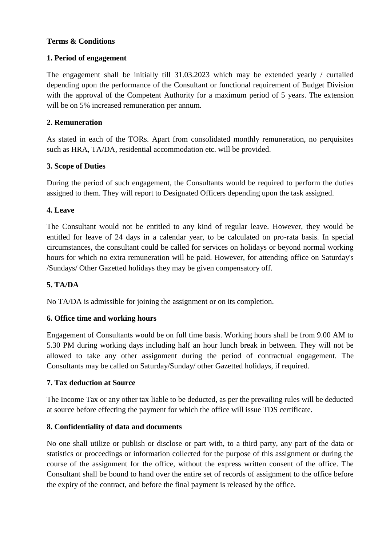# **Terms & Conditions**

# **1. Period of engagement**

The engagement shall be initially till 31.03.2023 which may be extended yearly / curtailed depending upon the performance of the Consultant or functional requirement of Budget Division with the approval of the Competent Authority for a maximum period of 5 years. The extension will be on 5% increased remuneration per annum.

# **2. Remuneration**

As stated in each of the TORs. Apart from consolidated monthly remuneration, no perquisites such as HRA, TA/DA, residential accommodation etc. will be provided.

# **3. Scope of Duties**

During the period of such engagement, the Consultants would be required to perform the duties assigned to them. They will report to Designated Officers depending upon the task assigned.

# **4. Leave**

The Consultant would not be entitled to any kind of regular leave. However, they would be entitled for leave of 24 days in a calendar year, to be calculated on pro-rata basis. In special circumstances, the consultant could be called for services on holidays or beyond normal working hours for which no extra remuneration will be paid. However, for attending office on Saturday's /Sundays/ Other Gazetted holidays they may be given compensatory off.

# **5. TA/DA**

No TA/DA is admissible for joining the assignment or on its completion.

# **6. Office time and working hours**

Engagement of Consultants would be on full time basis. Working hours shall be from 9.00 AM to 5.30 PM during working days including half an hour lunch break in between. They will not be allowed to take any other assignment during the period of contractual engagement. The Consultants may be called on Saturday/Sunday/ other Gazetted holidays, if required.

# **7. Tax deduction at Source**

The Income Tax or any other tax liable to be deducted, as per the prevailing rules will be deducted at source before effecting the payment for which the office will issue TDS certificate.

# **8. Confidentiality of data and documents**

No one shall utilize or publish or disclose or part with, to a third party, any part of the data or statistics or proceedings or information collected for the purpose of this assignment or during the course of the assignment for the office, without the express written consent of the office. The Consultant shall be bound to hand over the entire set of records of assignment to the office before the expiry of the contract, and before the final payment is released by the office.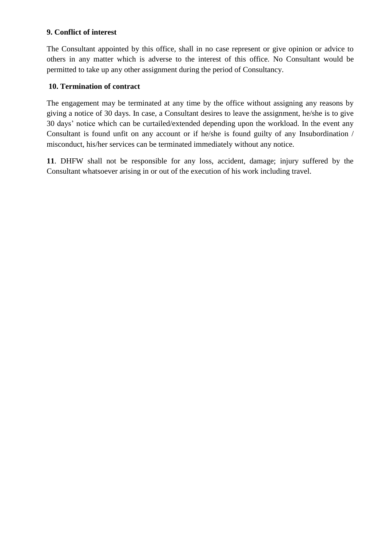### **9. Conflict of interest**

The Consultant appointed by this office, shall in no case represent or give opinion or advice to others in any matter which is adverse to the interest of this office. No Consultant would be permitted to take up any other assignment during the period of Consultancy.

### **10. Termination of contract**

The engagement may be terminated at any time by the office without assigning any reasons by giving a notice of 30 days. In case, a Consultant desires to leave the assignment, he/she is to give 30 days' notice which can be curtailed/extended depending upon the workload. In the event any Consultant is found unfit on any account or if he/she is found guilty of any Insubordination / misconduct, his/her services can be terminated immediately without any notice.

**11**. DHFW shall not be responsible for any loss, accident, damage; injury suffered by the Consultant whatsoever arising in or out of the execution of his work including travel.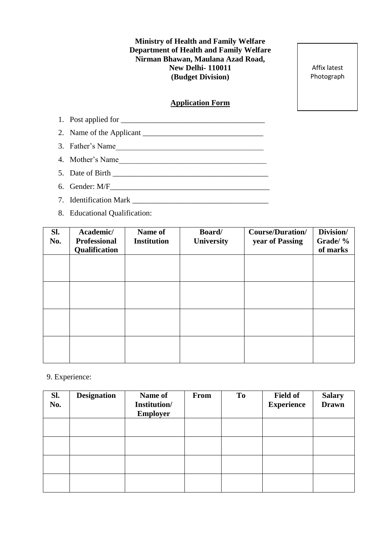**Ministry of Health and Family Welfare Department of Health and Family Welfare Nirman Bhawan, Maulana Azad Road, New Delhi- 110011 (Budget Division)** 

Affix latest Photograph

#### **Application Form**

- 1. Post applied for \_\_\_\_\_\_\_\_\_\_\_\_\_\_\_\_\_\_\_\_\_\_\_\_\_\_\_\_\_\_\_\_\_\_\_\_\_ 2. Name of the Applicant  $\frac{1}{2}$ 3. Father's Name\_\_\_\_\_\_\_\_\_\_\_\_\_\_\_\_\_\_\_\_\_\_\_\_\_\_\_\_\_\_\_\_\_\_\_\_\_\_ 4. Mother's Name 5. Date of Birth \_\_\_\_\_\_\_\_\_\_\_\_\_\_\_\_\_\_\_\_\_\_\_\_\_\_\_\_\_\_\_\_\_\_\_\_\_\_\_\_ 6. Gender:  $M/F$ 7. Identification Mark \_\_\_\_\_\_\_\_\_\_\_\_\_\_\_\_\_\_\_\_\_\_\_\_\_\_\_\_\_\_\_\_\_\_\_
- 8. Educational Qualification:

| Sl.<br>No. | Academic/<br><b>Professional</b><br>Qualification | Name of<br><b>Institution</b> | Board/<br><b>University</b> | <b>Course/Duration/</b><br>year of Passing | Division/<br>Grade/ %<br>of marks |
|------------|---------------------------------------------------|-------------------------------|-----------------------------|--------------------------------------------|-----------------------------------|
|            |                                                   |                               |                             |                                            |                                   |
|            |                                                   |                               |                             |                                            |                                   |
|            |                                                   |                               |                             |                                            |                                   |
|            |                                                   |                               |                             |                                            |                                   |

### 9. Experience:

| SI.<br>No. | <b>Designation</b> | Name of<br>Institution/<br><b>Employer</b> | <b>From</b> | To | <b>Field of</b><br><b>Experience</b> | <b>Salary</b><br><b>Drawn</b> |
|------------|--------------------|--------------------------------------------|-------------|----|--------------------------------------|-------------------------------|
|            |                    |                                            |             |    |                                      |                               |
|            |                    |                                            |             |    |                                      |                               |
|            |                    |                                            |             |    |                                      |                               |
|            |                    |                                            |             |    |                                      |                               |